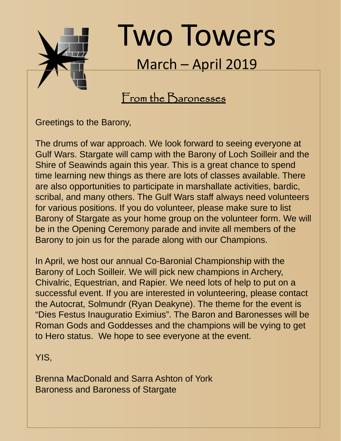

# Two Towers March – April 2019

# From the Baronesses

Greetings to the Barony,

The drums of war approach. We look forward to seeing everyone at Gulf Wars. Stargate will camp with the Barony of Loch Soilleir and the Shire of Seawinds again this year. This is a great chance to spend time learning new things as there are lots of classes available. There are also opportunities to participate in marshallate activities, bardic, scribal, and many others. The Gulf Wars staff always need volunteers for various positions. If you do volunteer, please make sure to list Barony of Stargate as your home group on the volunteer form. We will be in the Opening Ceremony parade and invite all members of the Barony to join us for the parade along with our Champions.

In April, we host our annual Co-Baronial Championship with the Barony of Loch Soilleir. We will pick new champions in Archery, Chivalric, Equestrian, and Rapier. We need lots of help to put on a successful event. If you are interested in volunteering, please contact the Autocrat, Solmundr (Ryan Deakyne). The theme for the event is "Dies Festus Inauguratio Eximius". The Baron and Baronesses will be Roman Gods and Goddesses and the champions will be vying to get to Hero status. We hope to see everyone at the event.

YIS,

Brenna MacDonald and Sarra Ashton of York Baroness and Baroness of Stargate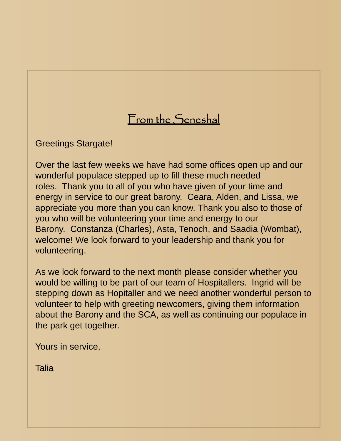# From the Seneshal

Greetings Stargate!

Over the last few weeks we have had some offices open up and our wonderful populace stepped up to fill these much needed roles. Thank you to all of you who have given of your time and energy in service to our great barony. Ceara, Alden, and Lissa, we appreciate you more than you can know. Thank you also to those of you who will be volunteering your time and energy to our Barony. Constanza (Charles), Asta, Tenoch, and Saadia (Wombat), welcome! We look forward to your leadership and thank you for volunteering.

As we look forward to the next month please consider whether you would be willing to be part of our team of Hospitallers. Ingrid will be stepping down as Hopitaller and we need another wonderful person to volunteer to help with greeting newcomers, giving them information about the Barony and the SCA, as well as continuing our populace in the park get together.

Yours in service,

Talia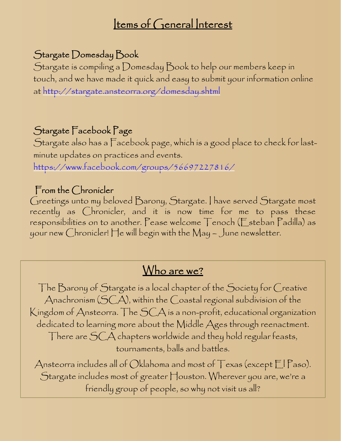# Items of General Interest

### Stargate Domesday Book

Stargate is compiling a Domesday Book to help our members keep in touch, and we have made it quick and easy to submit your information online at http://stargate.ansteorra.org/domesday.shtml

### Stargate Facebook Page

Stargate also has a Facebook page, which is a good place to check for lastminute updates on practices and events.

https://www.facebook.com/groups/56697227816/

#### From the Chronicler

Greetings unto my beloved Barony, Stargate. I have served Stargate most recently as Chronicler, and it is now time for me to pass these responsibilities on to another. Pease welcome Tenoch (Esteban Padilla) as your new Chronicler! He will begin with the May – June newsletter.

# Who are we?

The Barony of Stargate is a local chapter of the Society for Creative Anachronism (SCA), within the Coastal regional subdivision of the Kingdom of Ansteorra. The SCA is a non-profit, educational organization dedicated to learning more about the Middle Ages through reenactment. There are SCA chapters worldwide and they hold regular feasts, tournaments, balls and battles.

Ansteorra includes all of Oklahoma and most of  $\top$ exas (except  $\Box$  Paso). Stargate includes most of greater Houston. Wherever you are, we're a friendly group of people, so why not visit us all?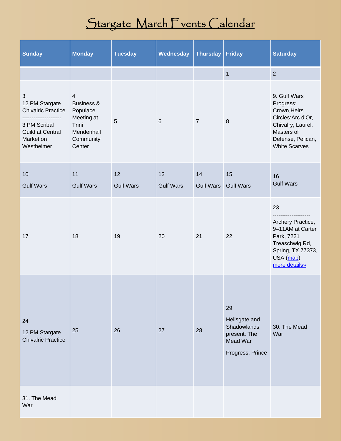# Stargate March Fvents Calendar

| <b>Sunday</b>                                                                                                                           | <b>Monday</b>                                                                                        | <b>Tuesday</b>   | Wednesday        | <b>Thursday</b>  | <b>Friday</b>                                                                      | <b>Saturday</b>                                                                                                                                 |
|-----------------------------------------------------------------------------------------------------------------------------------------|------------------------------------------------------------------------------------------------------|------------------|------------------|------------------|------------------------------------------------------------------------------------|-------------------------------------------------------------------------------------------------------------------------------------------------|
|                                                                                                                                         |                                                                                                      |                  |                  |                  | $\overline{1}$                                                                     | $\overline{2}$                                                                                                                                  |
| $\sqrt{3}$<br>12 PM Stargate<br><b>Chivalric Practice</b><br>----<br>3 PM Scribal<br><b>Guild at Central</b><br>Market on<br>Westheimer | $\overline{4}$<br>Business &<br>Populace<br>Meeting at<br>Trini<br>Mendenhall<br>Community<br>Center | 5                | $6\phantom{1}$   | $\overline{7}$   | $\boldsymbol{8}$                                                                   | 9. Gulf Wars<br>Progress:<br>Crown, Heirs<br>Circles: Arc d'Or,<br>Chivalry, Laurel,<br>Masters of<br>Defense, Pelican,<br><b>White Scarves</b> |
| 10                                                                                                                                      | 11                                                                                                   | 12               | 13               | 14               | 15                                                                                 | 16                                                                                                                                              |
| <b>Gulf Wars</b>                                                                                                                        | <b>Gulf Wars</b>                                                                                     | <b>Gulf Wars</b> | <b>Gulf Wars</b> | <b>Gulf Wars</b> | <b>Gulf Wars</b>                                                                   | <b>Gulf Wars</b>                                                                                                                                |
| 17                                                                                                                                      | 18                                                                                                   | 19               | 20               | 21               | 22                                                                                 | 23.<br>-----------<br>Archery Practice,<br>9-11AM at Carter<br>Park, 7221<br>Treaschwig Rd,<br>Spring, TX 77373,<br>USA (map)<br>more details»  |
| 24<br>12 PM Stargate<br><b>Chivalric Practice</b>                                                                                       | 25                                                                                                   | 26               | 27               | 28               | 29<br>Hellsgate and<br>Shadowlands<br>present: The<br>Mead War<br>Progress: Prince | 30. The Mead<br>War                                                                                                                             |
| 31. The Mead<br>War                                                                                                                     |                                                                                                      |                  |                  |                  |                                                                                    |                                                                                                                                                 |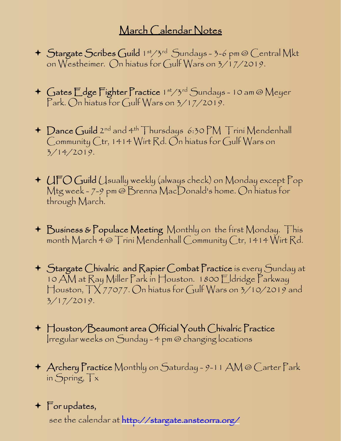# March Calendar Notes

- Stargate Scribes Guild 1st/3rd Sundays 3-6 pm @ Central Mkt on Westheimer. On hiatus for Gulf Wars on 3/17/2019.
- + Gates Edge Fighter Practice 1st/3rd Sundays 10 am @ Meyer Park. On hiatus for Gulf Wars on 3/17/2019.
- ← Dance Guild 2<sup>nd</sup> and 4<sup>th</sup> Thursdays 6:30 PM Trini Mendenhall Community Ctr, 1414 Wirt Rd. On hiatus for Gulf Wars on 3/14/2019.
- UFO Guild Usually weekly (always check) on Monday except Pop Mtg week - 7-9 pm @ Brenna MacDonald's home. On hiatus for through March.
- Business & Populace Meeting Monthly on the first Monday. This month March 4 @ Trini Mendenhall Community Ctr, 1414 Wirt Rd.
- Stargate Chivalric and Rapier Combat Practice is every Sunday at 10 AM at Ray Miller Park in Houston. 1800 Eldridge Parkway Houston, TX 77077. On hiatus for Gulf Wars on 3/10/2019 and 3/17/2019.
- $\blacksquare$  Houston/Beaumont area Official Youth Chivalric Practice Irregular weeks on Sunday - 4 pm @ changing locations
- Archery Practice Monthly on Saturday 9-11 AM @ Carter Park in Spring, Tx

# For updates,

see the calendar at http://stargate.ansteorra.org/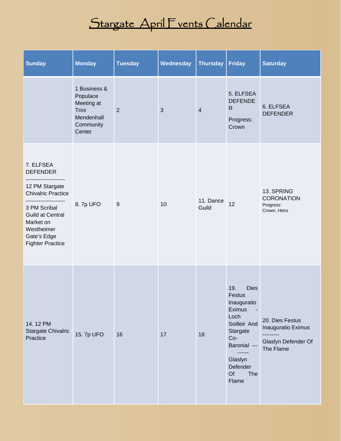# Stargate April Fvents Calendar

| <b>Sunday</b>                                                                                                                                                                               | <b>Monday</b>                                                                        | <b>Tuesday</b> | Wednesday    | <b>Thursday</b>    | <b>Friday</b>                                                                                                                                                             | <b>Saturday</b>                                                                        |
|---------------------------------------------------------------------------------------------------------------------------------------------------------------------------------------------|--------------------------------------------------------------------------------------|----------------|--------------|--------------------|---------------------------------------------------------------------------------------------------------------------------------------------------------------------------|----------------------------------------------------------------------------------------|
|                                                                                                                                                                                             | 1 Business &<br>Populace<br>Meeting at<br>Trini<br>Mendenhall<br>Community<br>Center | $\overline{2}$ | $\mathbf{3}$ | 4                  | 5. ELFSEA<br><b>DEFENDE</b><br>$\mathsf{R}$<br>Progress:<br>Crown                                                                                                         | 6. ELFSEA<br><b>DEFENDER</b>                                                           |
| 7. ELFSEA<br><b>DEFENDER</b><br>12 PM Stargate<br><b>Chivalric Practice</b><br>3 PM Scribal<br><b>Guild at Central</b><br>Market on<br>Westheimer<br>Gate's Edge<br><b>Fighter Practice</b> | 8.7p UFO                                                                             | 9              | 10           | 11. Dance<br>Guild | 12                                                                                                                                                                        | 13. SPRING<br><b>CORONATION</b><br>Progress:<br>Crown, Heirs                           |
| 14.12 PM<br>Stargate Chivalric<br>Practice                                                                                                                                                  | 15. 7p UFO                                                                           | 16             | 17           | 18                 | <b>Dies</b><br>19.<br>Festus<br>Inauguratio<br>Eximus<br>Loch<br>Soilleir And<br>Stargate<br>$Co-$<br>Baronial ---<br>------<br>Glaslyn<br>Defender<br>Of<br>The<br>Flame | 20. Dies Festus<br>Inauguratio Eximus<br>---------<br>Glaslyn Defender Of<br>The Flame |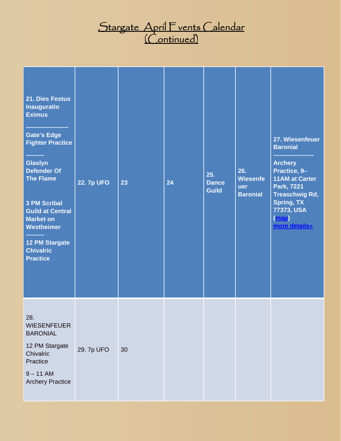# <u> Stargate April F vents (alendar</u> <u>(Continued)</u>

| 21. Dies Festus<br><b>Inauguratio</b><br><b>Eximus</b><br><b>Gate's Edge</b><br><b>Fighter Practice</b><br>---------<br><b>Glaslyn</b><br><b>Defender Of</b><br><b>The Flame</b><br><b>3 PM Scribal</b><br><b>Guild at Central</b><br><b>Market on</b><br><b>Westheimer</b><br>---------<br><b>12 PM Stargate</b><br><b>Chivalric</b><br><b>Practice</b> | <b>22. 7p UFO</b> | 23 | 24 | 25.<br><b>Dance</b><br><b>Guild</b> | 26.<br><b>Wiesenfe</b><br>uer<br><b>Baronial</b> | 27. Wiesenfeuer<br><b>Baronial</b><br><b>Archery</b><br>Practice, 9-<br><b>11AM at Carter</b><br>Park, 7221<br><b>Treaschwig Rd,</b><br><b>Spring, TX</b><br>77373, USA<br>(map)<br>more details» |
|----------------------------------------------------------------------------------------------------------------------------------------------------------------------------------------------------------------------------------------------------------------------------------------------------------------------------------------------------------|-------------------|----|----|-------------------------------------|--------------------------------------------------|---------------------------------------------------------------------------------------------------------------------------------------------------------------------------------------------------|
| 28.<br><b>WIESENFEUER</b><br><b>BARONIAL</b><br>12 PM Stargate<br>Chivalric<br>Practice<br>$9 - 11$ AM<br><b>Archery Practice</b>                                                                                                                                                                                                                        | 29. 7p UFO        | 30 |    |                                     |                                                  |                                                                                                                                                                                                   |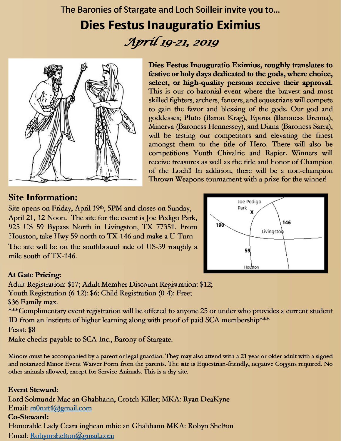The Baronies of Stargate and Loch Soilleir invite you to...

# **Dies Festus Inauguratio Eximius** Apríl 19-21, 2019



#### **Site Information:**

Dies Festus Inauguratio Eximius, roughly translates to festive or holy days dedicated to the gods, where choice, select, or high-quality persons receive their approval. This is our co-baronial event where the bravest and most skilled fighters, archers, fencers, and equestrians will compete to gain the favor and blessing of the gods. Our god and goddesses; Pluto (Baron Krag), Epona (Baroness Brenna), Minerva (Baroness Hennessey), and Diana (Baroness Sarra), will be testing our competitors and elevating the finest amongst them to the title of Hero. There will also be competitions Youth Chivalric and Rapier. Winners will receive treasures as well as the title and honor of Champion of the Loch!! In addition, there will be a non-champion Thrown Weapons tournament with a prize for the winner!

Site opens on Friday, April 19th, 5PM and closes on Sunday, April 21, 12 Noon. The site for the event is Joe Pedigo Park, 925 US 59 Bypass North in Livingston, TX 77351. From Houston, take Hwy 59 north to TX-146 and make a U-Turn The site will be on the southbound side of US-59 roughly a mile south of TX-146.



#### **At Gate Pricing:**

Adult Registration: \$17; Adult Member Discount Registration: \$12; Youth Registration (6-12): \$6; Child Registration (0-4): Free; \$36 Family max. \*\*\*Complimentary event registration will be offered to anyone 25 or under who provides a current student ID from an institute of higher learning along with proof of paid SCA membership\*\*\*

Feast \$8

Make checks payable to SCA Inc., Barony of Stargate.

Minors must be accompanied by a parent or legal guardian. They may also attend with a 21 year or older adult with a signed and notarized Minor Event Waiver Form from the parents. The site is Equestrian-friendly, negative Coggins required. No other animals allowed, except for Service Animals. This is a dry site.

#### **Event Steward:**

Lord Solmundr Mac an Ghabhann, Crotch Killer; MKA: Ryan DeaKyne Email: m0nzt4@gmail.com Co-Steward: Honorable Lady Ceara inghean mhic an Ghabhann MKA: Robyn Shelton Email: Robynrshelton@gmail.com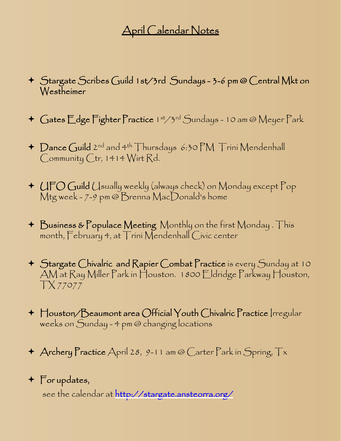# April Calendar Notes

- Stargate Scribes Guild 1st/3rd Sundays 3-6 pm @ Central Mkt on Westheimer
- + Gates Edge Fighter Practice 1st/3rd Sundays 10 am @ Meyer Park
- ← Dance Guild 2<sup>nd</sup> and 4<sup>th</sup> Thursdays 6:30 PM Trini Mendenhall Community Ctr, 1414 Wirt Rd.
- $\triangleq$  (JFO Guild (Jsually weekly (always check) on Monday except  $\Gamma$ op Mtg week - 7-9 pm @ Brenna MacDonald's home
- Business & Populace Meeting Monthly on the first Monday . This month, February 4, at Trini Mendenhall Civic center
- Stargate Chivalric and Rapier Combat Practice is every Sunday at 10 AM at Ray Miller Park in Houston. 1800 Eldridge Parkway Houston, TX 77077
- $\blacklozenge$  Houston/Beaumont area Official Youth Chivalric Practice Irregular weeks on Sunday - 4 pm @ changing locations
- $\triangle$  Archery Practice April 28, 9-11 am @ Carter Park in Spring,  $Tx$

### For updates,

see the calendar at http://stargate.ansteorra.org/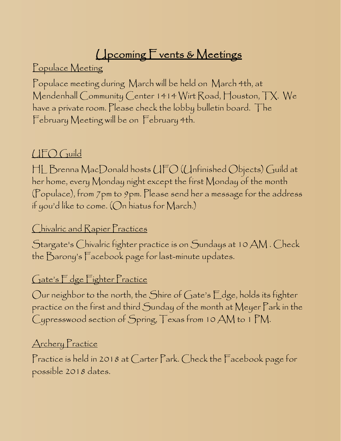# **Upcoming Fvents & Meetings**

Populace Meeting

Populace meeting during March will be held on March 4th, at Mendenhall Community Center 1414 Wirt Road, Houston, TX. We have a private room. Please check the lobby bulletin board. The February Meeting will be on February 4th.

# UFO Guild

HL Brenna MacDonald hosts UFO (Unfinished Objects) Guild at her home, every Monday night except the first Monday of the month (Populace), from 7pm to 9pm. Please send her a message for the address if you'd like to come. (On hiatus for March.)

#### Chivalric and Rapier Practices

Stargate's Chivalric fighter practice is on Sundays at 10 AM . Check the Barony's Facebook page for last-minute updates.

#### Gate's Edge Fighter Practice

Our neighbor to the north, the Shire of Gate's Edge, holds its fighter practice on the first and third Sunday of the month at Meyer Park in the Cypresswood section of Spring, Texas from 10 AM to 1 PM.

#### Archery Practice

Practice is held in 2018 at Carter Park. Check the Facebook page for possible 2018 dates.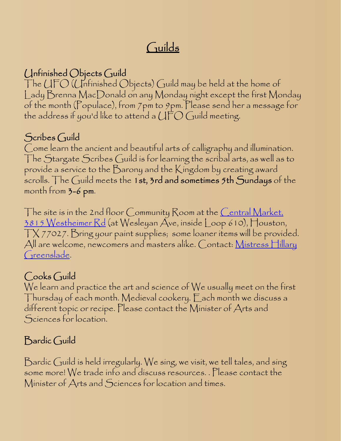# Guilds

### Unfinished Objects Guild

The UFO (Unfinished Objects) Guild may be held at the home of Lady Brenna MacDonald on any Monday night except the first Monday of the month (Populace), from 7pm to 9pm. Please send her a message for the address if you'd like to attend a  $U\Gamma O$  Guild meeting.

# Scribes Guild

Come learn the ancient and beautiful arts of calligraphy and illumination. The Stargate Scribes Guild is for learning the scribal arts, as well as to provide a service to the Barony and the Kingdom by creating award scrolls. The Guild meets the 1st,  $3$ rd and sometimes  $5$ th Sundays of the month from 3-6 pm.

The site is in the 2nd floor Community Room at the Central Market, 3815 Westheimer Rd (at Wesleyan Ave, inside Loop 610), Houston, TX 77027. Bring your paint supplies; some loaner items will be provided. All are welcome, newcomers and masters alike. Contact: Mistress Hillary Greenslade.

# Cooks Guild

We learn and practice the art and science of We usually meet on the first Thursday of each month. Medieval cookery. Each month we discuss a different topic or recipe. Please contact the Minister of Arts and Sciences for location.

# Bardic Guild

Bardic Guild is held irregularly. We sing, we visit, we tell tales, and sing some more! We trade info and discuss resources. . Please contact the Minister of Arts and Sciences for location and times.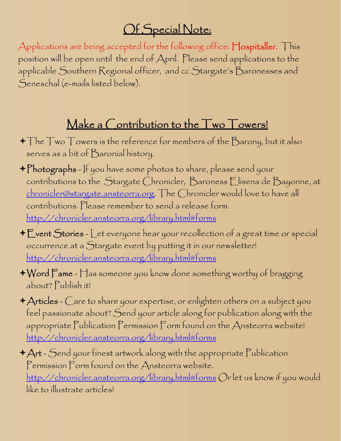# Of Special Note:

Applications are being accepted for the following office: Hospitaller. This position will be open until the end of April. Please send applications to the applicable Southern Regional officer, and cc Stargate's Baronesses and Seneschal (e-mails listed below).

# Make a Contribution to the Two Towers!

- $\blacklozenge\top$ he  $\top$ wo  $\top$ owers is the reference for members of the  $\mathcal B$ arony, but it also serves as a bit of Baronial history.
- Photographs If you have some photos to share, please send your contributions to the Stargate Chronicler, Baroness Elisena de Bayonne, at chronicler@stargate.ansteorra.org. The Chronicler would love to have all contributions. Please remember to send a release form. http://chronicler.ansteorra.org/library.html#forms
- Event Stories Let everyone hear your recollection of a great time or special occurrence at a Stargate event by putting it in our newsletter! http://chronicler.ansteorra.org/library.html#forms
- $\bigstar$  Word  $\Gamma$ ame  $\sqcap$  as someone you know done something worthy of bragging about? Publish it!
- Articles Care to share your expertise, or enlighten others on a subject you feel passionate about? Send your article along for publication along with the appropriate Publication Permission Form found on the Ansteorra website! http://chronicler.ansteorra.org/library.html#forms
- $+A$ rt Send your finest artwork along with the appropriate Publication Permission Form found on the Ansteorra website. http://chronicler.ansteorra.org/library.html#forms Or let us know if you would like to illustrate articles!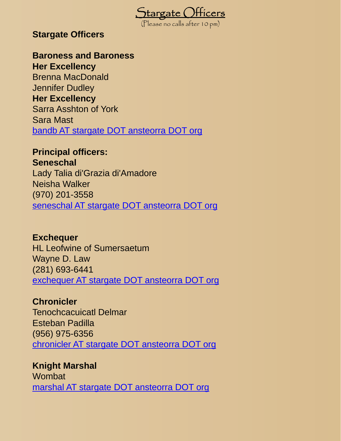

#### **Stargate Officers**

#### **Baroness and Baroness**

**Her Excellency** Brenna MacDonald Jennifer Dudley **Her Excellency** Sarra Asshton of York Sara Mast bandb AT stargate DOT ansteorra DOT org

# **Principal officers:**

**Seneschal**

Lady Talia di'Grazia di'Amadore Neisha Walker (970) 201-3558 seneschal AT stargate DOT ansteorra DOT org

#### **Exchequer**

HL Leofwine of Sumersaetum Wayne D. Law (281) 693-6441 exchequer AT stargate DOT ansteorra DOT org

#### **Chronicler**

Tenochcacuicatl Delmar Esteban Padilla (956) 975-6356 chronicler AT stargate DOT ansteorra DOT org

**Knight Marshal** Wombat marshal AT stargate DOT ansteorra DOT org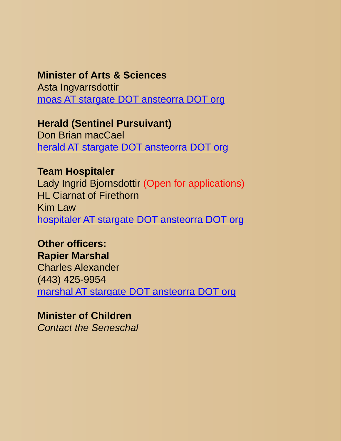#### **Minister of Arts & Sciences**

Asta Ingvarrsdottir moas AT stargate DOT ansteorra DOT org

**Herald (Sentinel Pursuivant)** Don Brian macCael herald AT stargate DOT ansteorra DOT org

**Team Hospitaler** Lady Ingrid Bjornsdottir (Open for applications) HL Ciarnat of Firethorn Kim Law hospitaler AT stargate DOT ansteorra DOT org

**Other officers: Rapier Marshal**  Charles Alexander (443) 425-9954 marshal AT stargate DOT ansteorra DOT org

**Minister of Children**  *Contact the Seneschal*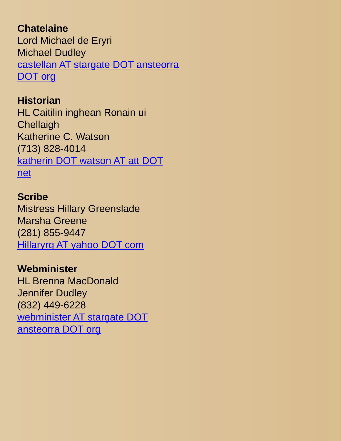#### **Chatelaine**

Lord Michael de Eryri Michael Dudley castellan AT stargate DOT ansteorra DOT org

#### **Historian**

HL Caitilin inghean Ronain ui **Chellaigh** Katherine C. Watson (713) 828-4014 katherin DOT watson AT att DOT net

#### **Scribe**

Mistress Hillary Greenslade Marsha Greene (281) 855-9447 Hillaryrg AT yahoo DOT com

#### **Webminister**

HL Brenna MacDonald Jennifer Dudley (832) 449-6228 webminister AT stargate DOT ansteorra DOT org